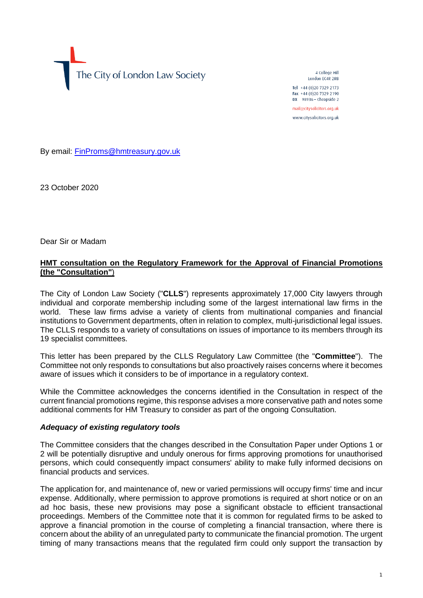The City of London Law Society

4 College Hill London FC4R 2RB

Tel +44 (0)20 7329 2173 Fax +44 (0)20 7329 2190 DX  $98936$  - Cheapside 2 mail@citysolicitors.org.uk www.citysolicitors.org.uk

By email: [FinProms@hmtreasury.gov.uk](mailto:FinProms@hmtreasury.gov.uk)

23 October 2020

Dear Sir or Madam

## **HMT consultation on the Regulatory Framework for the Approval of Financial Promotions (the "Consultation"**)

The City of London Law Society ("**CLLS**") represents approximately 17,000 City lawyers through individual and corporate membership including some of the largest international law firms in the world. These law firms advise a variety of clients from multinational companies and financial institutions to Government departments, often in relation to complex, multi-jurisdictional legal issues. The CLLS responds to a variety of consultations on issues of importance to its members through its 19 specialist committees.

This letter has been prepared by the CLLS Regulatory Law Committee (the "**Committee**"). The Committee not only responds to consultations but also proactively raises concerns where it becomes aware of issues which it considers to be of importance in a regulatory context.

While the Committee acknowledges the concerns identified in the Consultation in respect of the current financial promotions regime, this response advises a more conservative path and notes some additional comments for HM Treasury to consider as part of the ongoing Consultation.

#### *Adequacy of existing regulatory tools*

The Committee considers that the changes described in the Consultation Paper under Options 1 or 2 will be potentially disruptive and unduly onerous for firms approving promotions for unauthorised persons, which could consequently impact consumers' ability to make fully informed decisions on financial products and services.

The application for, and maintenance of, new or varied permissions will occupy firms' time and incur expense. Additionally, where permission to approve promotions is required at short notice or on an ad hoc basis, these new provisions may pose a significant obstacle to efficient transactional proceedings. Members of the Committee note that it is common for regulated firms to be asked to approve a financial promotion in the course of completing a financial transaction, where there is concern about the ability of an unregulated party to communicate the financial promotion. The urgent timing of many transactions means that the regulated firm could only support the transaction by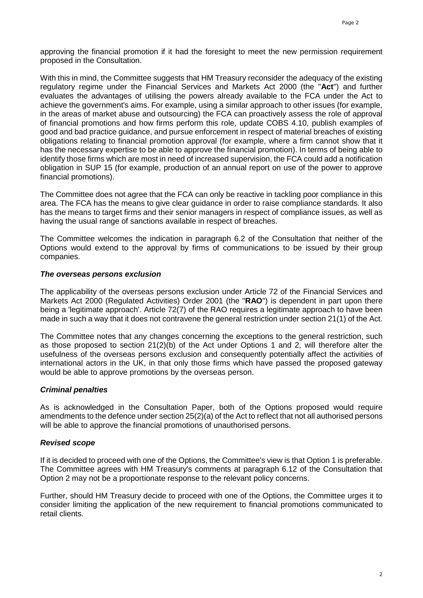approving the financial promotion if it had the foresight to meet the new permission requirement proposed in the Consultation.

With this in mind, the Committee suggests that HM Treasury reconsider the adequacy of the existing regulatory regime under the Financial Services and Markets Act 2000 (the "**Act**") and further evaluates the advantages of utilising the powers already available to the FCA under the Act to achieve the government's aims. For example, using a similar approach to other issues (for example, in the areas of market abuse and outsourcing) the FCA can proactively assess the role of approval of financial promotions and how firms perform this role, update COBS 4.10, publish examples of good and bad practice guidance, and pursue enforcement in respect of material breaches of existing obligations relating to financial promotion approval (for example, where a firm cannot show that it has the necessary expertise to be able to approve the financial promotion). In terms of being able to identify those firms which are most in need of increased supervision, the FCA could add a notification obligation in SUP 15 (for example, production of an annual report on use of the power to approve financial promotions).

The Committee does not agree that the FCA can only be reactive in tackling poor compliance in this area. The FCA has the means to give clear guidance in order to raise compliance standards. It also has the means to target firms and their senior managers in respect of compliance issues, as well as having the usual range of sanctions available in respect of breaches.

The Committee welcomes the indication in paragraph 6.2 of the Consultation that neither of the Options would extend to the approval by firms of communications to be issued by their group companies.

#### *The overseas persons exclusion*

The applicability of the overseas persons exclusion under Article 72 of the Financial Services and Markets Act 2000 (Regulated Activities) Order 2001 (the "**RAO**") is dependent in part upon there being a 'legitimate approach'. Article 72(7) of the RAO requires a legitimate approach to have been made in such a way that it does not contravene the general restriction under section 21(1) of the Act.

The Committee notes that any changes concerning the exceptions to the general restriction, such as those proposed to section 21(2)(b) of the Act under Options 1 and 2, will therefore alter the usefulness of the overseas persons exclusion and consequently potentially affect the activities of international actors in the UK, in that only those firms which have passed the proposed gateway would be able to approve promotions by the overseas person.

### *Criminal penalties*

As is acknowledged in the Consultation Paper, both of the Options proposed would require amendments to the defence under section 25(2)(a) of the Act to reflect that not all authorised persons will be able to approve the financial promotions of unauthorised persons.

### *Revised scope*

If it is decided to proceed with one of the Options, the Committee's view is that Option 1 is preferable. The Committee agrees with HM Treasury's comments at paragraph 6.12 of the Consultation that Option 2 may not be a proportionate response to the relevant policy concerns.

Further, should HM Treasury decide to proceed with one of the Options, the Committee urges it to consider limiting the application of the new requirement to financial promotions communicated to retail clients.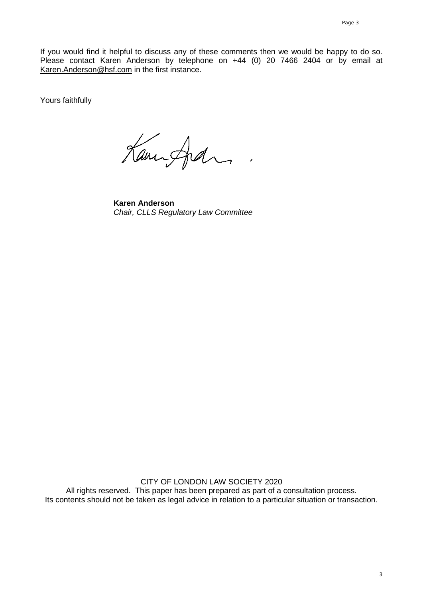If you would find it helpful to discuss any of these comments then we would be happy to do so. Please contact Karen Anderson by telephone on +44 (0) 20 7466 2404 or by email at [Karen.Anderson@hsf.com](mailto:Karen.Anderson@hsf.com) in the first instance.

Yours faithfully

Kampfal

**Karen Anderson** *Chair, CLLS Regulatory Law Committee*

CITY OF LONDON LAW SOCIETY 2020 All rights reserved. This paper has been prepared as part of a consultation process. Its contents should not be taken as legal advice in relation to a particular situation or transaction.